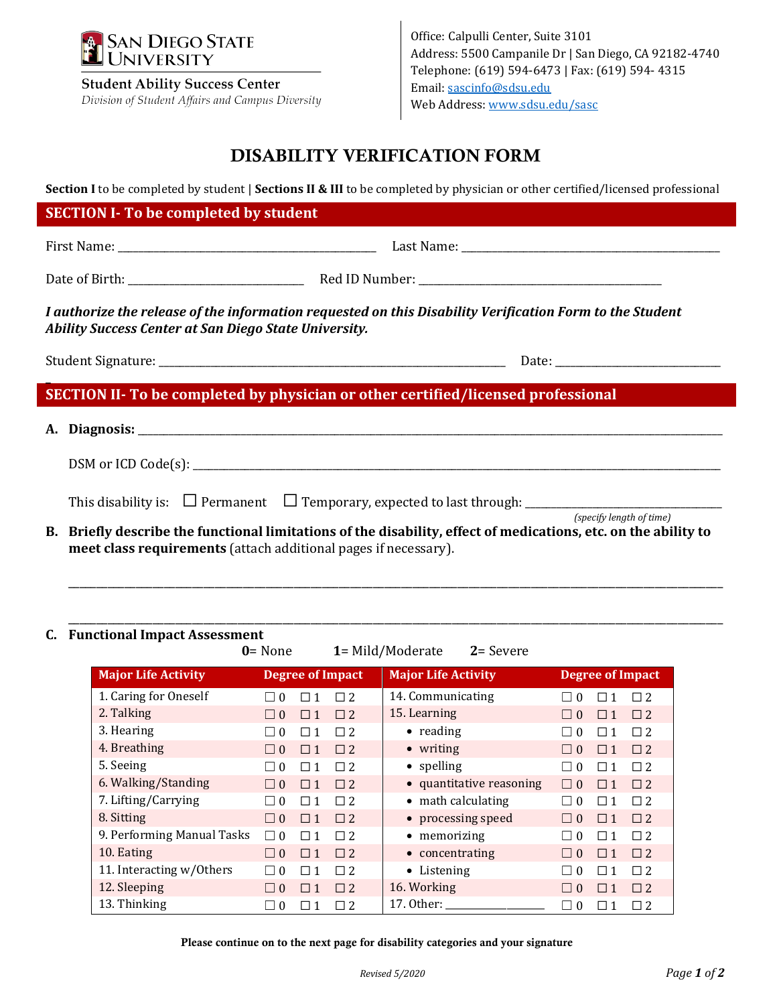

**Student Ability Success Center** Division of Student Affairs and Campus Diversity

Office: Calpulli Center, Suite 3101 Address: 5500 Campanile Dr | San Diego, CA 92182-4740 Telephone: (619) 594-6473 | Fax: (619) 594- 4315 Email[: sascinfo@sdsu.edu](mailto:sascinfo@sdsu.edu) Web Address[: www.sdsu.edu/sasc](http://www.sdsu.edu/sasc)

# DISABILITY VERIFICATION FORM

**Section I** to be completed by student | **Sections II & III** to be completed by physician or other certified/licensed professional

### **SECTION I- To be completed by student**

First Name: \_\_\_\_\_\_\_\_\_\_\_\_\_\_\_\_\_\_\_\_\_\_\_\_\_\_\_\_\_\_\_\_\_\_\_\_\_\_\_\_\_\_\_\_\_\_\_\_\_\_ Last Name: \_\_\_\_\_\_\_\_\_\_\_\_\_\_\_\_\_\_\_\_\_\_\_\_\_\_\_\_\_\_\_\_\_\_\_\_\_\_\_\_\_\_\_\_\_\_\_\_\_\_

Date of Birth: \_\_\_\_\_\_\_\_\_\_\_\_\_\_\_\_\_\_\_\_\_\_\_\_\_\_\_\_\_\_\_\_\_\_ Red ID Number: \_\_\_\_\_\_\_\_\_\_\_\_\_\_\_\_\_\_\_\_\_\_\_\_\_\_\_\_\_\_\_\_\_\_\_\_\_\_\_\_\_\_\_\_\_\_\_

*I authorize the release of the information requested on this Disability Verification Form to the Student Ability Success Center at San Diego State University.*

Student Signature: \_\_\_\_\_\_\_\_\_\_\_\_\_\_\_\_\_\_\_\_\_\_\_\_\_\_\_\_\_\_\_\_\_\_\_\_\_\_\_\_\_\_\_\_\_\_\_\_\_\_\_\_\_\_\_\_\_\_\_\_\_\_\_\_\_\_\_ Date: \_\_\_\_\_\_\_\_\_\_\_\_\_\_\_\_\_\_\_\_\_\_\_\_\_\_\_\_\_\_\_\_

**\_** 

**SECTION II- To be completed by physician or other certified/licensed professional**

| A. Diagnosis: 2008. 2008. 2010. 2010. 2010. 2010. 2010. 2010. 2010. 2010. 2010. 2010. 2010. 2010. 2010. 2010.   |                          |
|-----------------------------------------------------------------------------------------------------------------|--------------------------|
|                                                                                                                 |                          |
|                                                                                                                 |                          |
| B. Briefly describe the functional limitations of the disability, effect of medications, etc. on the ability to | (specify length of time) |

**B. Briefly describe the functional limitations of the disability, effect of medications, etc. on the ability to meet class requirements** (attach additional pages if necessary).

\_\_\_\_\_\_\_\_\_\_\_\_\_\_\_\_\_\_\_\_\_\_\_\_\_\_\_\_\_\_\_\_\_\_\_\_\_\_\_\_\_\_\_\_\_\_\_\_\_\_\_\_\_\_\_\_\_\_\_\_\_\_\_\_\_\_\_\_\_\_\_\_\_\_\_\_\_\_\_\_\_\_\_\_\_\_\_\_\_\_\_\_\_\_\_\_\_\_\_\_\_\_\_\_\_\_\_\_\_\_\_\_\_\_\_\_

#### \_\_\_\_\_\_\_\_\_\_\_\_\_\_\_\_\_\_\_\_\_\_\_\_\_\_\_\_\_\_\_\_\_\_\_\_\_\_\_\_\_\_\_\_\_\_\_\_\_\_\_\_\_\_\_\_\_\_\_\_\_\_\_\_\_\_\_\_\_\_\_\_\_\_\_\_\_\_\_\_\_\_\_\_\_\_\_\_\_\_\_\_\_\_\_\_\_\_\_\_\_\_\_\_\_\_\_\_\_\_\_\_\_\_\_\_ **C. Functional Impact Assessment**

|                            | $0 = None$              |          |          | 1= Mild/Moderate<br>$2 =$ Severe |                          |          |          |
|----------------------------|-------------------------|----------|----------|----------------------------------|--------------------------|----------|----------|
| <b>Major Life Activity</b> | <b>Degree of Impact</b> |          |          | <b>Major Life Activity</b>       | <b>Degree of Impact</b>  |          |          |
| 1. Caring for Oneself      | $\Omega$                | П        | $\Box$ 2 | 14. Communicating                | $\Omega$                 | П        | $\Box$ 2 |
| 2. Talking                 | $\Omega$<br>$\Box$      | $\Box$ 1 | $\Box$ 2 | 15. Learning                     | $\Omega$<br>$\Box$       | $\Box$ 1 | $\Box$ 2 |
| 3. Hearing                 | $\Omega$                | $\Box$ 1 | $\Box$ 2 | $\bullet$ reading                | $\Omega$<br>$\mathsf{L}$ | $\Box$ 1 | $\Box$ 2 |
| 4. Breathing               | $\Omega$                | $\Box$ 1 | $\Box$ 2 | • writing                        | $\Omega$<br>$\Box$       | $\Box$ 1 | $\Box$ 2 |
| 5. Seeing                  | $\Omega$                | $\Box$ 1 | $\Box$ 2 | • spelling                       | $\Omega$                 | $\Box$ 1 | $\Box$ 2 |
| 6. Walking/Standing        | $\Box$ 0                | $\Box$ 1 | $\Box$ 2 | • quantitative reasoning         | $\Omega$<br>$\Box$       | $\Box$ 1 | $\Box$ 2 |
| 7. Lifting/Carrying        | $\Omega$                | $\Box$ 1 | $\Box$ 2 | • math calculating               | $\Omega$<br>$\mathsf{L}$ | $\Box$ 1 | $\Box$ 2 |
| 8. Sitting                 | $\Box$ $0$              | $\Box$ 1 | $\Box$ 2 | • processing speed               | $\Omega$<br>$\perp$      | $\Box$ 1 | $\Box$ 2 |
| 9. Performing Manual Tasks | $\Omega$                | $\Box$ 1 | $\Box$ 2 | • memorizing                     | $\Omega$<br>$\Box$       | $\Box$ 1 | $\Box$ 2 |
| 10. Eating                 | $\Box$ 0                | $\Box$ 1 | $\Box$ 2 | • concentrating                  | $\Omega$<br>$\Box$       | $\Box$ 1 | $\Box$ 2 |
| 11. Interacting w/Others   | $\Omega$<br>П           | $\Box$ 1 | $\Box$ 2 | • Listening                      | $\Omega$                 | $\Box$ 1 | $\Box$ 2 |
| 12. Sleeping               | $\Box$ $0$              | $\Box$ 1 | $\Box$ 2 | 16. Working                      | $\Omega$<br>$\Box$       | $\Box$ 1 | $\Box$ 2 |
| 13. Thinking               | $\Omega$                | п        | $\Box$ 2 | 17. Other:                       | $\Omega$<br>$\sim$       | П        | $\Box$ 2 |

Please continue on to the next page for disability categories and your signature